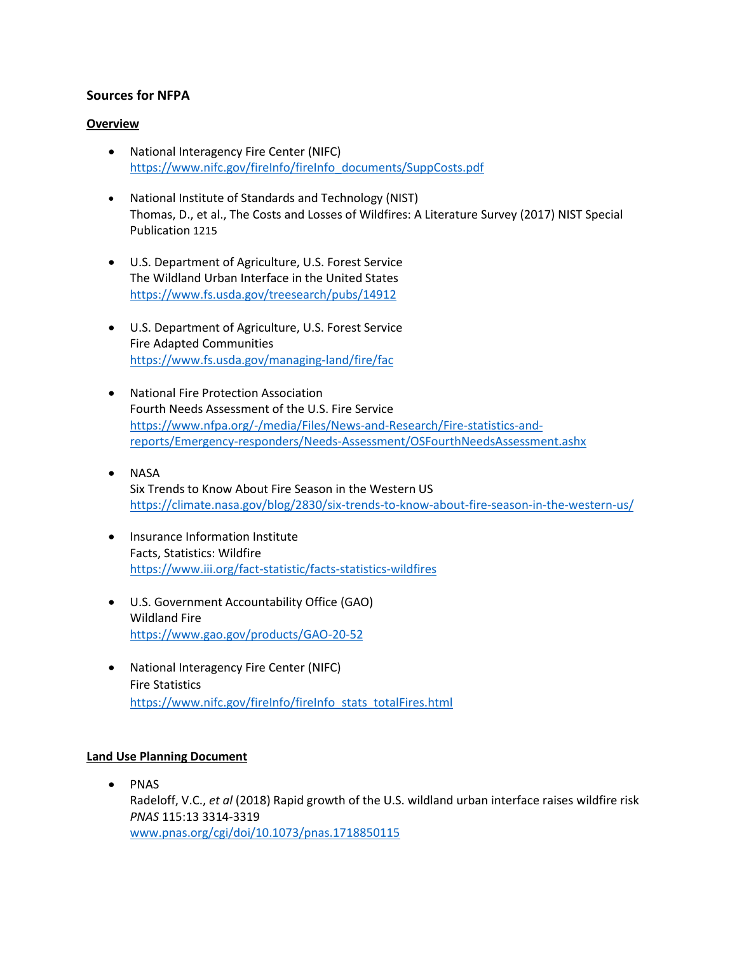## **Sources for NFPA**

#### **Overview**

- National Interagency Fire Center (NIFC) [https://www.nifc.gov/fireInfo/fireInfo\\_documents/SuppCosts.pdf](https://www.nifc.gov/fireInfo/fireInfo_documents/SuppCosts.pdf)
- National Institute of Standards and Technology (NIST) Thomas, D., et al., The Costs and Losses of Wildfires: A Literature Survey (2017) NIST Special Publication 1215
- U.S. Department of Agriculture, U.S. Forest Service The Wildland Urban Interface in the United States <https://www.fs.usda.gov/treesearch/pubs/14912>
- U.S. Department of Agriculture, U.S. Forest Service Fire Adapted Communities <https://www.fs.usda.gov/managing-land/fire/fac>
- National Fire Protection Association Fourth Needs Assessment of the U.S. Fire Service [https://www.nfpa.org/-/media/Files/News-and-Research/Fire-statistics-and](https://www.nfpa.org/-/media/Files/News-and-Research/Fire-statistics-and-reports/Emergency-responders/Needs-Assessment/OSFourthNeedsAssessment.ashx)[reports/Emergency-responders/Needs-Assessment/OSFourthNeedsAssessment.ashx](https://www.nfpa.org/-/media/Files/News-and-Research/Fire-statistics-and-reports/Emergency-responders/Needs-Assessment/OSFourthNeedsAssessment.ashx)
- NASA Six Trends to Know About Fire Season in the Western US <https://climate.nasa.gov/blog/2830/six-trends-to-know-about-fire-season-in-the-western-us/>
- Insurance Information Institute Facts, Statistics: Wildfire <https://www.iii.org/fact-statistic/facts-statistics-wildfires>
- U.S. Government Accountability Office (GAO) Wildland Fire <https://www.gao.gov/products/GAO-20-52>
- National Interagency Fire Center (NIFC) Fire Statistics [https://www.nifc.gov/fireInfo/fireInfo\\_stats\\_totalFires.html](https://www.nifc.gov/fireInfo/fireInfo_stats_totalFires.html)

#### **Land Use Planning Document**

• PNAS Radeloff, V.C., *et al* (2018) Rapid growth of the U.S. wildland urban interface raises wildfire risk *PNAS* 115:13 3314-3319 [www.pnas.org/cgi/doi/10.1073/pnas.1718850115](http://www.pnas.org/cgi/doi/10.1073/pnas.1718850115)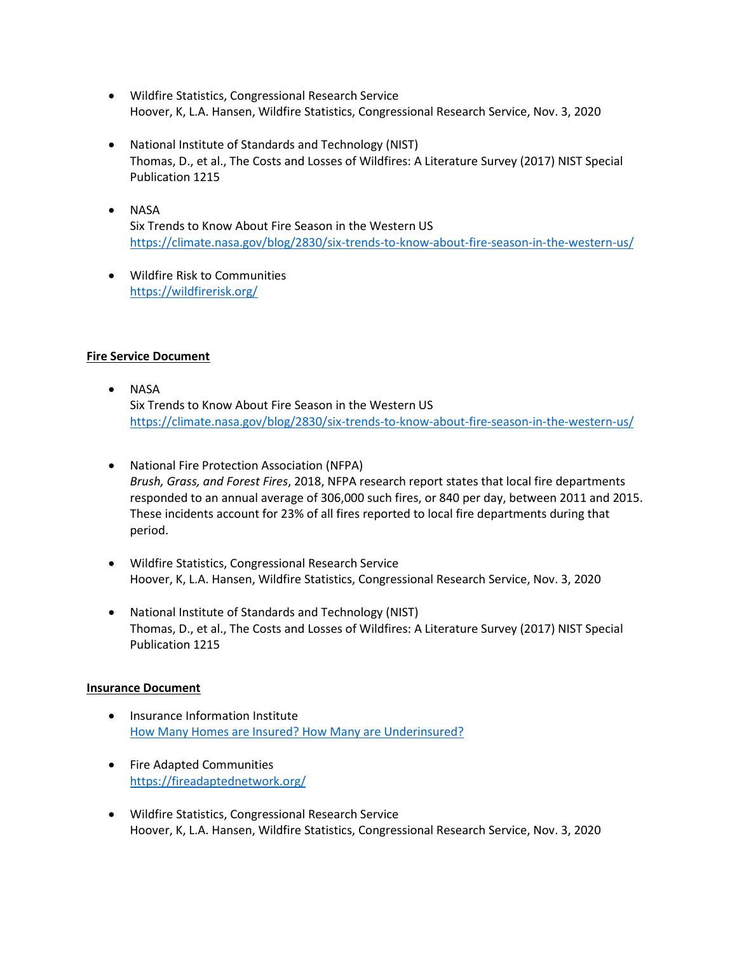- Wildfire Statistics, Congressional Research Service Hoover, K, L.A. Hansen, Wildfire Statistics, Congressional Research Service, Nov. 3, 2020
- National Institute of Standards and Technology (NIST) Thomas, D., et al., The Costs and Losses of Wildfires: A Literature Survey (2017) NIST Special Publication 1215
- NASA Six Trends to Know About Fire Season in the Western US <https://climate.nasa.gov/blog/2830/six-trends-to-know-about-fire-season-in-the-western-us/>
- Wildfire Risk to Communities <https://wildfirerisk.org/>

# **Fire Service Document**

- NASA Six Trends to Know About Fire Season in the Western US <https://climate.nasa.gov/blog/2830/six-trends-to-know-about-fire-season-in-the-western-us/>
- National Fire Protection Association (NFPA) *Brush, Grass, and Forest Fires*, 2018, NFPA research report states that local fire departments responded to an annual average of 306,000 such fires, or 840 per day, between 2011 and 2015. These incidents account for 23% of all fires reported to local fire departments during that period.
- Wildfire Statistics, Congressional Research Service Hoover, K, L.A. Hansen, Wildfire Statistics, Congressional Research Service, Nov. 3, 2020
- National Institute of Standards and Technology (NIST) Thomas, D., et al., The Costs and Losses of Wildfires: A Literature Survey (2017) NIST Special Publication 1215

# **Insurance Document**

- Insurance Information Institute [How Many Homes are Insured? How Many are Underinsured?](https://www.iii.org/insuranceindustryblog/how-many-homes-are-insured-how-many-are-uninsured/#:~:text=A%3A%20The%20short%20answer%20is,whether%20they%20have%20homeowners%20insurance.)
- Fire Adapted Communities <https://fireadaptednetwork.org/>
- Wildfire Statistics, Congressional Research Service Hoover, K, L.A. Hansen, Wildfire Statistics, Congressional Research Service, Nov. 3, 2020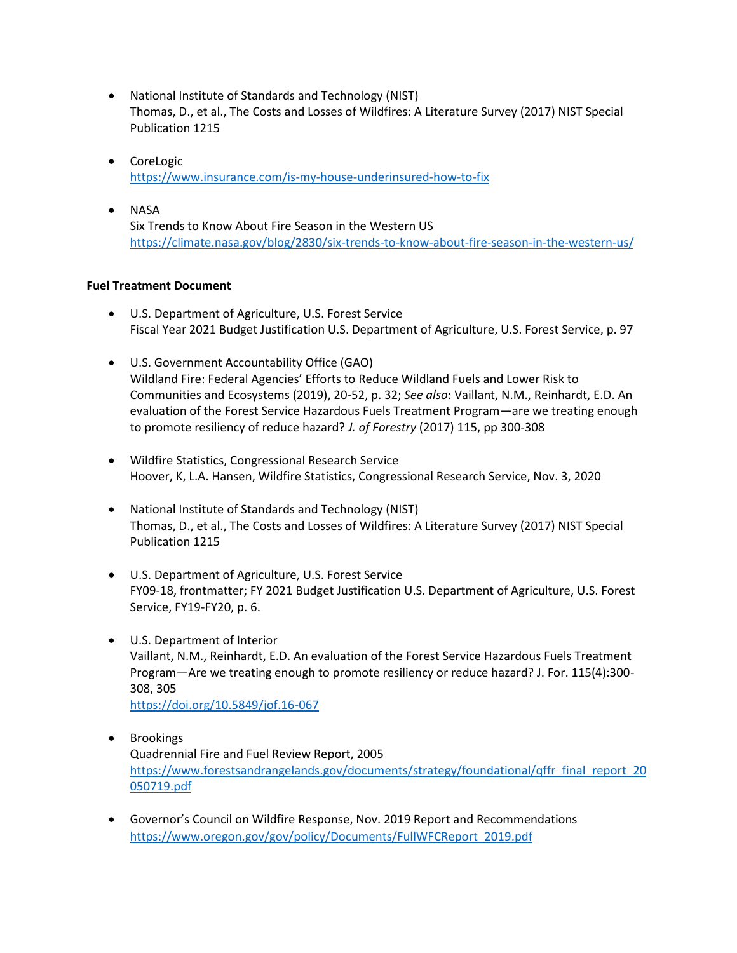- National Institute of Standards and Technology (NIST) Thomas, D., et al., The Costs and Losses of Wildfires: A Literature Survey (2017) NIST Special Publication 1215
- CoreLogic <https://www.insurance.com/is-my-house-underinsured-how-to-fix>
- NASA Six Trends to Know About Fire Season in the Western US <https://climate.nasa.gov/blog/2830/six-trends-to-know-about-fire-season-in-the-western-us/>

# **Fuel Treatment Document**

- U.S. Department of Agriculture, U.S. Forest Service Fiscal Year 2021 Budget Justification U.S. Department of Agriculture, U.S. Forest Service, p. 97
- U.S. Government Accountability Office (GAO) Wildland Fire: Federal Agencies' Efforts to Reduce Wildland Fuels and Lower Risk to Communities and Ecosystems (2019), 20-52, p. 32; *See also*: Vaillant, N.M., Reinhardt, E.D. An evaluation of the Forest Service Hazardous Fuels Treatment Program—are we treating enough to promote resiliency of reduce hazard? *J. of Forestry* (2017) 115, pp 300-308
- Wildfire Statistics, Congressional Research Service Hoover, K, L.A. Hansen, Wildfire Statistics, Congressional Research Service, Nov. 3, 2020
- National Institute of Standards and Technology (NIST) Thomas, D., et al., The Costs and Losses of Wildfires: A Literature Survey (2017) NIST Special Publication 1215
- U.S. Department of Agriculture, U.S. Forest Service FY09-18, frontmatter; FY 2021 Budget Justification U.S. Department of Agriculture, U.S. Forest Service, FY19-FY20, p. 6.
- U.S. Department of Interior Vaillant, N.M., Reinhardt, E.D. An evaluation of the Forest Service Hazardous Fuels Treatment Program—Are we treating enough to promote resiliency or reduce hazard? J. For. 115(4):300- 308, 305 <https://doi.org/10.5849/jof.16-067>
- Brookings Quadrennial Fire and Fuel Review Report, 2005 [https://www.forestsandrangelands.gov/documents/strategy/foundational/qffr\\_final\\_report\\_20](https://www.forestsandrangelands.gov/documents/strategy/foundational/qffr_final_report_20050719.pdf) [050719.pdf](https://www.forestsandrangelands.gov/documents/strategy/foundational/qffr_final_report_20050719.pdf)
- Governor's Council on Wildfire Response, Nov. 2019 Report and Recommendations [https://www.oregon.gov/gov/policy/Documents/FullWFCReport\\_2019.pdf](https://www.oregon.gov/gov/policy/Documents/FullWFCReport_2019.pdf)